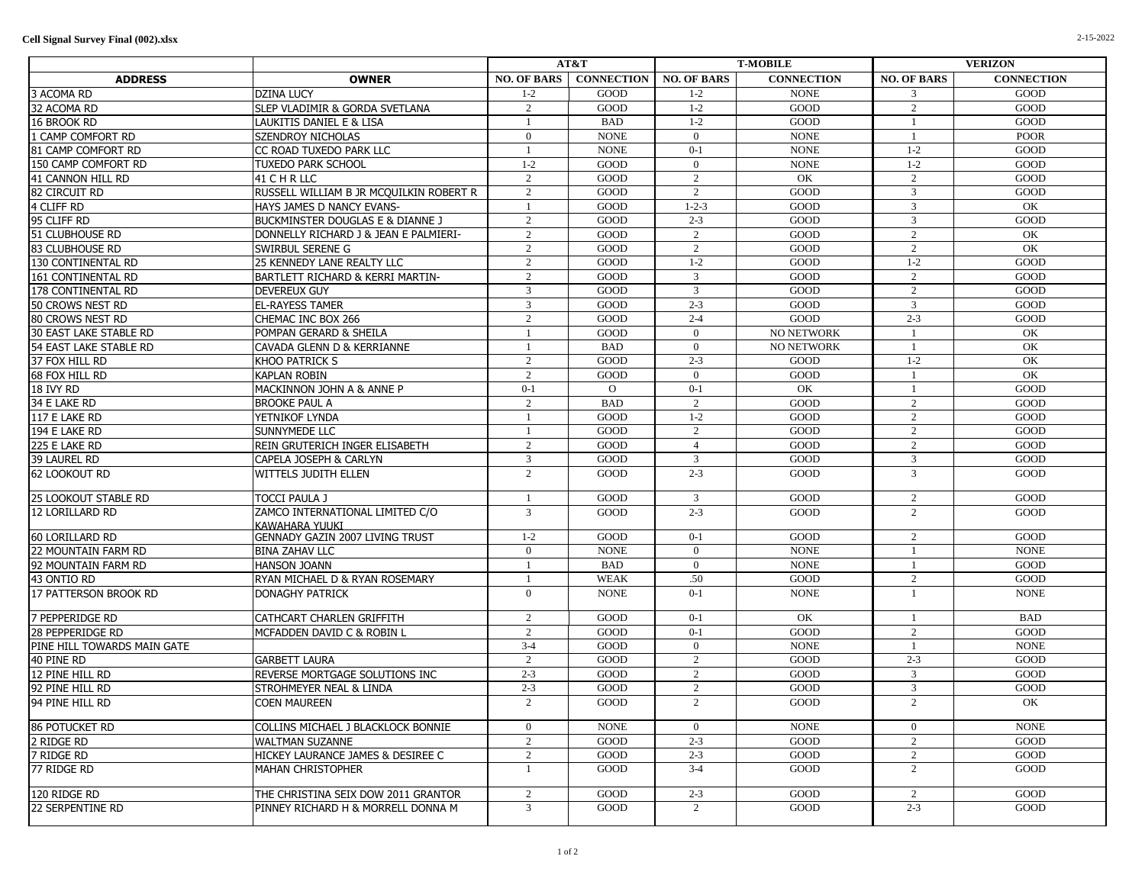|                             |                                                   | AT&T               |                   | <b>T-MOBILE</b>    |                   | <b>VERIZON</b>     |                   |
|-----------------------------|---------------------------------------------------|--------------------|-------------------|--------------------|-------------------|--------------------|-------------------|
| <b>ADDRESS</b>              | <b>OWNER</b>                                      | <b>NO. OF BARS</b> | <b>CONNECTION</b> | <b>NO. OF BARS</b> | <b>CONNECTION</b> | <b>NO. OF BARS</b> | <b>CONNECTION</b> |
| 3 ACOMA RD                  | <b>DZINA LUCY</b>                                 | $1 - 2$            | GOOD              | $1 - 2$            | <b>NONE</b>       | 3                  | GOOD              |
| 32 ACOMA RD                 | SLEP VLADIMIR & GORDA SVETLANA                    | 2                  | GOOD              | $1 - 2$            | GOOD              | 2                  | GOOD              |
| 16 BROOK RD                 | LAUKITIS DANIEL E & LISA                          | -1                 | <b>BAD</b>        | $1 - 2$            | GOOD              | 1                  | GOOD              |
| 1 CAMP COMFORT RD           | SZENDROY NICHOLAS                                 | $\overline{0}$     | <b>NONE</b>       | $\overline{0}$     | <b>NONE</b>       | $\mathbf{1}$       | <b>POOR</b>       |
| 81 CAMP COMFORT RD          | CC ROAD TUXEDO PARK LLC                           | -1                 | <b>NONE</b>       | $0 - 1$            | <b>NONE</b>       | $1-2$              | GOOD              |
| 150 CAMP COMFORT RD         | <b>TUXEDO PARK SCHOOL</b>                         | $1 - 2$            | GOOD              | $\overline{0}$     | <b>NONE</b>       | $1 - 2$            | GOOD              |
| 41 CANNON HILL RD           | 41 C H R LLC                                      | 2                  | GOOD              | 2                  | OK                | 2                  | GOOD              |
| 82 CIRCUIT RD               | RUSSELL WILLIAM B JR MCQUILKIN ROBERT R           | 2                  | GOOD              | 2                  | GOOD              | $\overline{3}$     | GOOD              |
| 4 CLIFF RD                  | HAYS JAMES D NANCY EVANS-                         | $\overline{1}$     | GOOD              | $1 - 2 - 3$        | GOOD              | 3                  | OK                |
| 95 CLIFF RD                 | <b>BUCKMINSTER DOUGLAS E &amp; DIANNE J</b>       | 2                  | GOOD              | $2 - 3$            | GOOD              | 3                  | GOOD              |
| 51 CLUBHOUSE RD             | DONNELLY RICHARD J & JEAN E PALMIERI-             | 2                  | GOOD              | 2                  | GOOD              | 2                  | OK                |
| 83 CLUBHOUSE RD             | SWIRBUL SERENE G                                  | 2                  | GOOD              | 2                  | GOOD              | 2                  | OK                |
| 130 CONTINENTAL RD          | 25 KENNEDY LANE REALTY LLC                        | 2                  | GOOD              | $1 - 2$            | GOOD              | $1 - 2$            | GOOD              |
| 161 CONTINENTAL RD          | BARTLETT RICHARD & KERRI MARTIN-                  | 2                  | GOOD              | $\mathbf{3}$       | GOOD              | 2                  | GOOD              |
| 178 CONTINENTAL RD          | <b>DEVEREUX GUY</b>                               | 3                  | GOOD              | $\overline{3}$     | GOOD              | 2                  | GOOD              |
| 50 Crows nest RD            | <b>EL-RAYESS TAMER</b>                            | 3                  | GOOD              | $2 - 3$            | GOOD              | 3                  | GOOD              |
| 80 Crows Nest RD            | CHEMAC INC BOX 266                                | 2                  | GOOD              | $2 - 4$            | GOOD              | $2 - 3$            | GOOD              |
| 30 EAST LAKE STABLE RD      | POMPAN GERARD & SHEILA                            | <sup>1</sup>       | GOOD              | $\overline{0}$     | NO NETWORK        | 1                  | OK                |
| 54 EAST LAKE STABLE RD      | CAVADA GLENN D & KERRIANNE                        | $\overline{1}$     | <b>BAD</b>        | $\overline{0}$     | <b>NO NETWORK</b> | $\overline{1}$     | OK                |
| 37 FOX HILL RD              | KHOO PATRICK S                                    | 2                  | GOOD              | $2 - 3$            | GOOD              | $1 - 2$            | OK                |
| 68 Fox Hill RD              | <b>KAPLAN ROBIN</b>                               | 2                  | GOOD              | $\theta$           | GOOD              | $\overline{1}$     | OK                |
| 18 IVY RD                   | MACKINNON JOHN A & ANNE P                         | $0 - 1$            | $\overline{O}$    | $0 - 1$            | OK                | 1                  | GOOD              |
| 34 E LAKE RD                | <b>BROOKE PAUL A</b>                              | 2                  | <b>BAD</b>        | 2                  | GOOD              | 2                  | GOOD              |
| 117 E LAKE RD               | YETNIKOF LYNDA                                    | $\overline{1}$     | GOOD              | $1 - 2$            | GOOD              | 2                  | GOOD              |
| 194 E LAKE RD               | SUNNYMEDE LLC                                     | $\overline{1}$     | GOOD              | 2                  | GOOD              | 2                  | GOOD              |
| 225 E LAKE RD               | REIN GRUTERICH INGER ELISABETH                    | 2                  | GOOD              | $\overline{4}$     | GOOD              | 2                  | GOOD              |
| 39 LAUREL RD                | CAPELA JOSEPH & CARLYN                            | 3                  | GOOD              | 3                  | GOOD              | 3                  | GOOD              |
| 62 Lookout RD               | WITTELS JUDITH ELLEN                              | 2                  | GOOD              | $2 - 3$            | GOOD              | $\overline{3}$     | GOOD              |
| 25 LOOKOUT STABLE RD        | TOCCI PAULA J                                     | $\overline{1}$     | GOOD              | $\overline{3}$     | GOOD              | 2                  | GOOD              |
| 12 LORILLARD RD             | ZAMCO INTERNATIONAL LIMITED C/O<br>KAWAHARA YUUKI | 3                  | GOOD              | $2 - 3$            | GOOD              | $\overline{2}$     | GOOD              |
| 60 LORILLARD RD             | <b>GENNADY GAZIN 2007 LIVING TRUST</b>            | $1 - 2$            | GOOD              | $0 - 1$            | GOOD              | 2                  | GOOD              |
| 22 MOUNTAIN FARM RD         | <b>BINA ZAHAV LLC</b>                             | $\mathbf{0}$       | <b>NONE</b>       | $\overline{0}$     | <b>NONE</b>       |                    | <b>NONE</b>       |
| 92 MOUNTAIN FARM RD         | <b>HANSON JOANN</b>                               | $\overline{1}$     | <b>BAD</b>        | $\overline{0}$     | <b>NONE</b>       | 1                  | GOOD              |
| 43 Ontio RD                 | RYAN MICHAEL D & RYAN ROSEMARY                    | $\overline{1}$     | <b>WEAK</b>       | .50                | GOOD              | 2                  | GOOD              |
| 17 PATTERSON BROOK RD       | <b>DONAGHY PATRICK</b>                            | $\overline{0}$     | <b>NONE</b>       | $0 - 1$            | <b>NONE</b>       | $\overline{1}$     | <b>NONE</b>       |
| 7 PEPPERIDGE RD             | CATHCART CHARLEN GRIFFITH                         | 2                  | GOOD              | $0 - 1$            | OK                | -1                 | <b>BAD</b>        |
| 28 PEPPERIDGE RD            | MCFADDEN DAVID C & ROBIN L                        | 2                  | GOOD              | $0 - 1$            | GOOD              | 2                  | GOOD              |
| PINE HILL TOWARDS MAIN GATE |                                                   | $3-4$              | GOOD              | $\overline{0}$     | <b>NONE</b>       | $\overline{1}$     | <b>NONE</b>       |
| 40 PINE RD                  | <b>GARBETT LAURA</b>                              | 2                  | GOOD              | 2                  | GOOD              | $2 - 3$            | GOOD              |
| 12 PINE HILL RD             | REVERSE MORTGAGE SOLUTIONS INC                    | $2 - 3$            | GOOD              | 2                  | GOOD              | 3                  | GOOD              |
| 92 PINE HILL RD             | <b>STROHMEYER NEAL &amp; LINDA</b>                | $2 - 3$            | GOOD              | 2                  | GOOD              | $\overline{3}$     | GOOD              |
| 94 PINE HILL RD             | <b>COEN MAUREEN</b>                               | 2                  | GOOD              | 2                  | GOOD              | $\mathcal{D}$      | OK                |
| 86 potucket RD              | COLLINS MICHAEL J BLACKLOCK BONNIE                | $\mathbf{0}$       | <b>NONE</b>       | $\overline{0}$     | <b>NONE</b>       | $\overline{0}$     | <b>NONE</b>       |
| 2 ridge RD                  | <b>WALTMAN SUZANNE</b>                            | $\overline{c}$     | GOOD              | $2 - 3$            | GOOD              | $\overline{2}$     | GOOD              |
| 7 RIDGE RD                  | HICKEY LAURANCE JAMES & DESIREE C                 | 2                  | GOOD              | $2 - 3$            | GOOD              | 2                  | GOOD              |
| 77 RIDGE RD                 | <b>MAHAN CHRISTOPHER</b>                          | $\mathbf{1}$       | GOOD              | $3-4$              | GOOD              | 2                  | GOOD              |
| 120 RIDGE RD                | THE CHRISTINA SEIX DOW 2011 GRANTOR               | 2                  | GOOD              | $2 - 3$            | GOOD              | 2                  | GOOD              |
| 22 SERPENTINE RD            | PINNEY RICHARD H & MORRELL DONNA M                | 3                  | GOOD              | 2                  | GOOD              | $2 - 3$            | <b>GOOD</b>       |